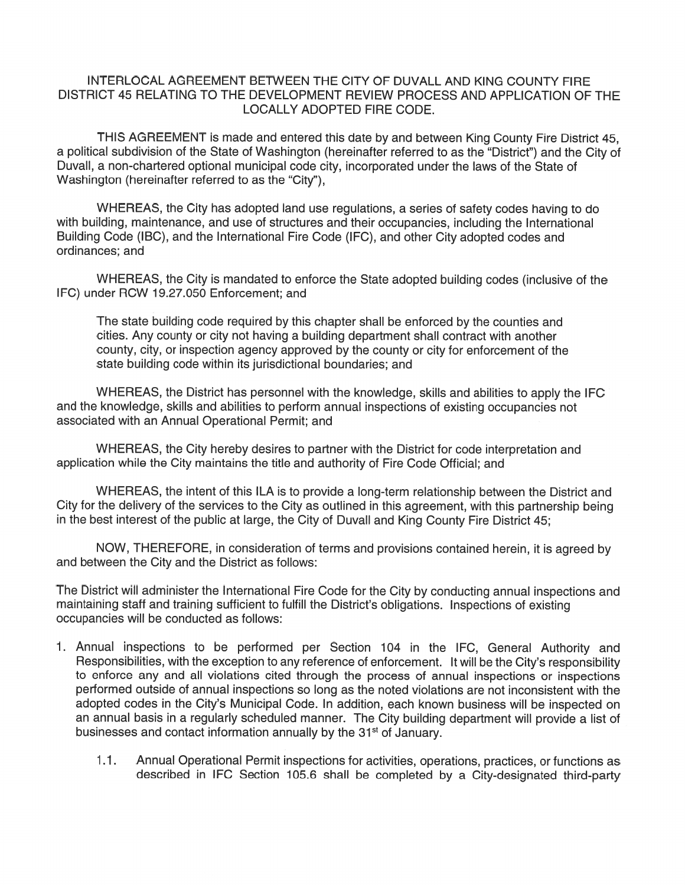## INTERLOCAL AGREEMENT BETWEEN THE CITY OF DUVALL AND KING COUNTY FIRE DISTRICT 45 RELATING TO THE DEVELOPMENT REVIEW PROCESS AND APPLICATION OF THE LOCALLY ADOPTED FIRE CODE.

THIS AGREEMENT is made and entered this date by and between King County Fire District 45, <sup>a</sup> political subdivision of the State of Washington (hereinafter referred to as the "District") and the City of Duvall, <sup>a</sup> non-chartered optional municipal code city, incorporated under the laws of the State of Washington (hereinafter referred to as the "City"),

WHEREAS, the City has adopted land use regulations, <sup>a</sup> series of safety codes having to do with building, maintenance, and use of structures and their occupancies, including the International Building Code (IBC), and the International Fire Code (IFC), and other City adopted codes and ordinances; and

WHEREAS, the City is mandated to enforce the State adopted building codes (inclusive of the IFC) under RCW 19.27.050 Enforcement; and

The state building code required by this chapter shall be enforced by the counties and cities. Any county or city not having <sup>a</sup> building department shall contract with another county, city, or inspection agency approved by the county or city for enforcement of the state building code within its jurisdictional boundaries; and

WHEREAS, the District has personne<sup>l</sup> with the knowledge, skills and abilities to apply the IFC and the knowledge, skills and abilities to perform annual inspections of existing occupancies not associated with an Annual Operational Permit; and

WHEREAS, the City hereby desires to partner with the District for code interpretation and application while the City maintains the title and authority of Fire Code Official; and

WHEREAS, the intent of this LA is to provide <sup>a</sup> long-term relationship between the District and City for the delivery of the services to the City as outlined in this agreement, with this partnership being in the best interest of the public at large, the City of Duvall and King County Fire District 45;

NOW, THEREFORE, in consideration of terms and provisions contained herein, it is agree<sup>d</sup> by and between the City and the District as follows:

The District will administer the International Fire Code for the City by conducting annual inspections and maintaining staff and training sufficient to fulfill the District's obligations. Inspections of existing occupancies will be conducted as follows:

- 1. Annual inspections to be performed per Section 104 in the IFC, General Authority and Responsibilities, with the exception to any reference of enforcement. It will be the City's responsibility to enforce any and all violations cited through the process of annual inspections or inspections performed outside of annual inspections so long as the noted violations are not inconsistent with the adopted codes in the City's Municipal Code. In addition, each known business will be inspected on an annual basis in <sup>a</sup> regularly scheduled manner. The City building department will provide <sup>a</sup> list of businesses and contact information annually by the 31<sup>st</sup> of January.
	- 1.1. Annual Operational Permit inspections for activities, operations, practices, or functions as described in IFC Section 105.6 shall be completed by <sup>a</sup> City-designated third-party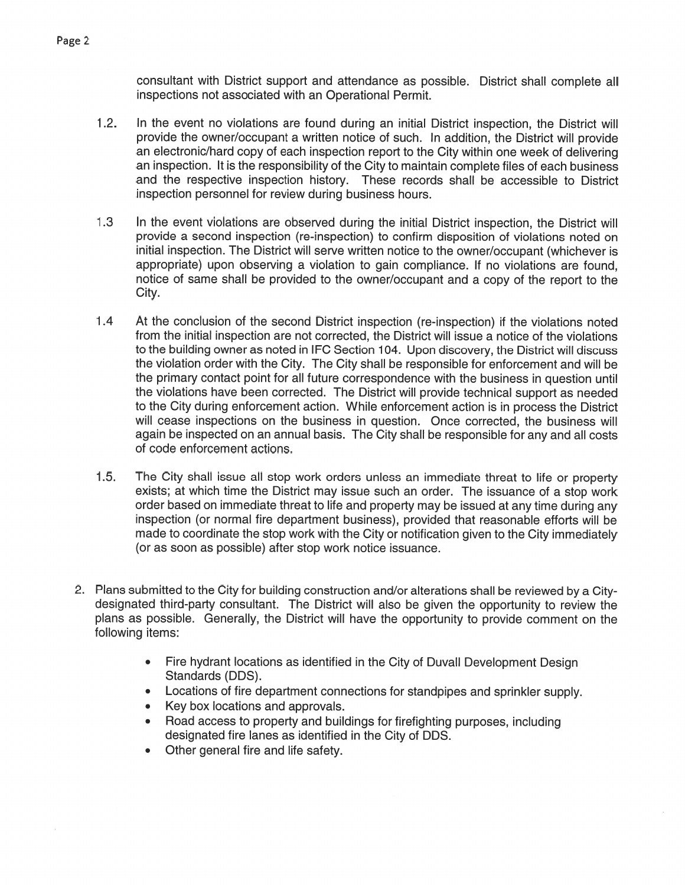consultant with District suppor<sup>t</sup> and attendance as possible. District shall complete all inspections not associated with an Operational Permit.

- 1.2. In the event no violations are found during an initial District inspection, the District will provide the owner/occupant <sup>a</sup> written notice of such. In addition, the District will provide an electronic/hard copy of each inspection repor<sup>t</sup> to the City within one week of delivering an inspection. It is the responsibility of the City to maintain complete files of each business and the respective inspection history. These records shall be accessible to District inspection personnel for review during business hours.
- 1.3 In the event violations are observed during the initial District inspection, the District will provide <sup>a</sup> second inspection (re-inspection) to confirm disposition of violations noted on initial inspection. The District will serve written notice to the owner/occupant (whichever is appropriate) upon observing <sup>a</sup> violation to gain compliance. If no violations are found, notice of same shall be provided to the owner/occupant and <sup>a</sup> copy of the repor<sup>t</sup> to the City.
- 1 .4 At the conclusion of the second District inspection (re-inspection) if the violations noted from the initial inspection are not corrected, the District will issue <sup>a</sup> notice of the violations to the building owner as noted in IFC Section 104. Upon discovery, the District will discuss the violation order with the City. The City shall be responsible for enforcement and will be the primary contact point for all future correspondence with the business in question until the violations have been corrected. The District will provide technical suppor<sup>t</sup> as needed to the City during enforcement action. While enforcement action is in process the District will cease inspections on the business in question. Once corrected, the business will again be inspected on an annual basis. The City shall be responsible for any and all costs of code enforcement actions.
- <sup>1</sup> .5. The City shall issue all stop work orders unless an immediate threat to life or property exists; at which time the District may issue such an order. The issuance of <sup>a</sup> stop work order based on immediate threat to life and property may be issued at any time during any inspection (or normal fire department business), provided that reasonable efforts will be made to coordinate the stop work with the City or notification <sup>g</sup>iven to the City immediately (or as soon as possible) after stop work notice issuance.
- 2. Plans submitted to the City for building construction and/or alterations shall be reviewed by <sup>a</sup> Citydesignated third-party consultant. The District will also be given the opportunity to review the <sup>p</sup>lans as possible. Generally, the District will have the opportunity to provide comment on the following items:
	- . Fire hydrant locations as identified in the City of Duvall Development Design Standards (DDS).
	- . Locations of fire department connections for standpipes and sprinkler supply.
	- . Key box locations and approvals.
	- . Road access to property and buildings for firefighting purposes, including designated fire lanes as identified in the City of DDS.
	- . Other general fire and life safety.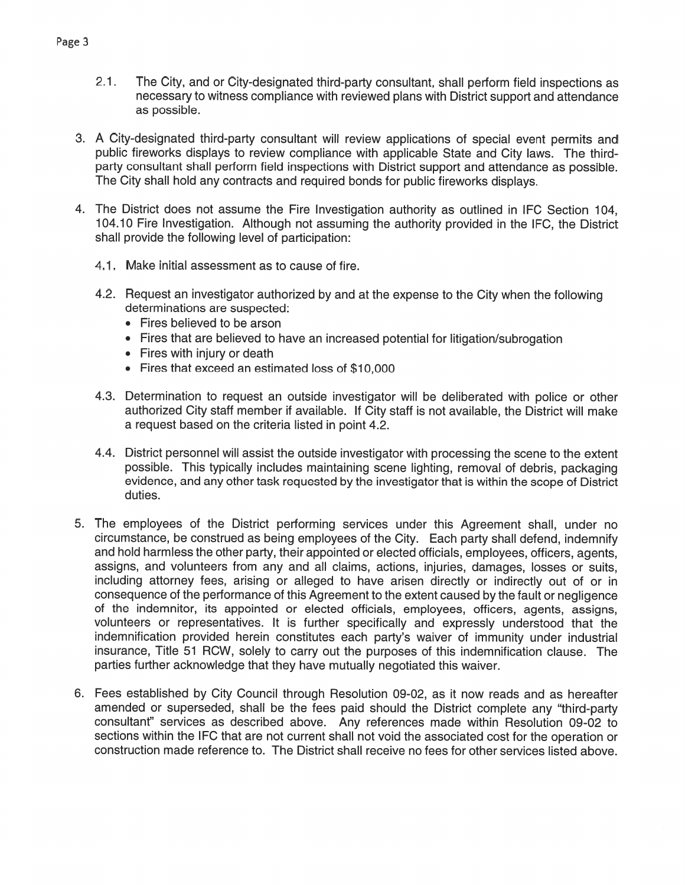- 2.1. The City, and or City-designated third-party consultant, shall perform field inspections as necessary to witness compliance with reviewed plans with District suppor<sup>t</sup> and attendance as possible.
- 3. <sup>A</sup> City-designated third-party consultant will review applications of special event permits and public fireworks displays to review compliance with applicable State and City laws. The thirdparty consultant shall perform field inspections with District suppor<sup>t</sup> and attendance as possible. The City shall hold any contracts and required bonds for public fireworks displays.
- 4. The District does not assume the Fire Investigation authority as outlined in IFC Section 104, 104.10 Fire Investigation. Although not assuming the authority provided in the IFC, the District shall provide the following level of participation:
	- 4.1 . Make initial assessment as to cause of fire.
	- 4.2. Request an investigator authorized by and at the expense to the City when the following determinations are suspected:
		- . Fires believed to be arson
		- . Fires that are believed to have an increased potential for litigation/subrogation
		- . Fires with injury or death
		- . Fires that exceed an estimated loss of \$10,000
	- 4.3. Determination to reques<sup>t</sup> an outside investigator will be deliberated with police or other authorized City staff member if available. If City staff is not available, the District will make <sup>a</sup> reques<sup>t</sup> based on the criteria listed in point 4.2.
	- 4.4. District personnel will assist the outside investigator with processing the scene to the extent possible. This typically includes maintaining scene lighting, removal of debris, packaging evidence, and any other task requested by the investigator that is within the scope of District duties.
- 5. The employees of the District performing services under this Agreement shall, under no circumstance, be construed as being employees of the City. Each party shall defend, indemnify and hold harmless the other party, their appointed or elected officials, employees, officers, agents, assigns, and volunteers from any and all claims, actions, injuries, damages, losses or suits, including attorney fees, arising or alleged to have arisen directly or indirectly out of or in consequence of the performance of this Agreement to the extent caused by the fault or negligence of the indemnitor, its appointed or elected officials, employees, officers, agents, assigns, volunteers or representatives. It is further specifically and expressly understood that the indemnification provided herein constitutes each party's waiver of immunity under industrial insurance, Title 51 RCW, solely to carry out the purposes of this indemnification clause. The parties further acknowledge that they have mutually negotiated this waiver.
- 6. Fees established by City Council through Resolution 09-02, as it now reads and as hereafter amended or superseded, shall be the fees paid should the District complete any "third-party consultant" services as described above. Any references made within Resolution 09-02 to sections within the IFC that are not current shall not void the associated cost for the operation or construction made reference to. The District shall receive no fees for other services listed above.